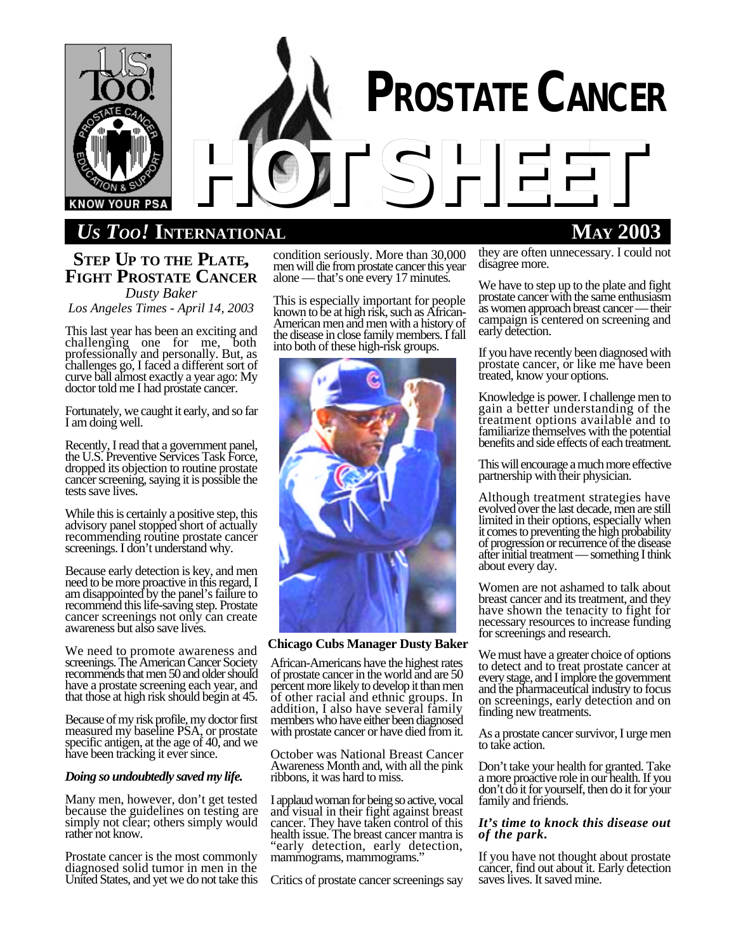

# *US TOO!* **INTERNATIONAL MAY 2003**

## **STEP UP TO THE PLATE, FIGHT PROSTATE CANCER**

*Dusty Baker Los Angeles Times - April 14, 2003*

This last year has been an exciting and challenging one for me, both professionally and personally. But, as challenges go, I faced a different sort of curve ball almost exactly a year ago: My doctor told me I had prostate cancer.

Fortunately, we caught it early, and so far I am doing well.

Recently, I read that a government panel, the U.S. Preventive Services Task Force, dropped its objection to routine prostate cancer screening, saying it is possible the tests save lives.

While this is certainly a positive step, this advisory panel stopped short of actually recommending routine prostate cancer screenings. I don't understand why.

Because early detection is key, and men need to be more proactive in this regard, I am disappointed by the panel's failure to recommend this life-saving step. Prostate cancer screenings not only can create awareness but also save lives.

We need to promote awareness and screenings. The American Cancer Society recommends that men 50 and older should have a prostate screening each year, and that those at high risk should begin at 45.

Because of my risk profile, my doctor first measured my baseline PSA, or prostate specific antigen, at the age of 40, and we have been tracking it ever since.

## *Doing so undoubtedly saved my life.*

Many men, however, don't get tested because the guidelines on testing are simply not clear; others simply would rather not know.

Prostate cancer is the most commonly diagnosed solid tumor in men in the United States, and yet we do not take this condition seriously. More than 30,000 men will die from prostate cancer this year alone — that's one every 17 minutes.

This is especially important for people known to be at high risk, such as African-American men and men with a history of the disease in close family members. I fall into both of these high-risk groups.



**Chicago Cubs Manager Dusty Baker**

African-Americans have the highest rates of prostate cancer in the world and are 50 percent more likely to develop it than men of other racial and ethnic groups. In addition, I also have several family members who have either been diagnosed with prostate cancer or have died from it.

October was National Breast Cancer Awareness Month and, with all the pink ribbons, it was hard to miss.

I applaud woman for being so active, vocal and visual in their fight against breast cancer. They have taken control of this health issue. The breast cancer mantra is "early detection, early detection, mammograms, mammograms."

Critics of prostate cancer screenings say

they are often unnecessary. I could not disagree more.

We have to step up to the plate and fight prostate cancer with the same enthusiasm as women approach breast cancer — their campaign is centered on screening and early detection.

If you have recently been diagnosed with prostate cancer, or like me have been treated, know your options.

Knowledge is power. I challenge men to gain a better understanding of the treatment options available and to familiarize themselves with the potential benefits and side effects of each treatment.

This will encourage a much more effective partnership with their physician.

Although treatment strategies have evolved over the last decade, men are still limited in their options, especially when it comes to preventing the high probability of progression or recurrence of the disease after initial treatment — something I think about every day.

Women are not ashamed to talk about breast cancer and its treatment, and they have shown the tenacity to fight for necessary resources to increase funding for screenings and research.

We must have a greater choice of options to detect and to treat prostate cancer at every stage, and I implore the government and the pharmaceutical industry to focus on screenings, early detection and on finding new treatments.

As a prostate cancer survivor, I urge men to take action.

Don't take your health for granted. Take a more proactive role in our health. If you don't do it for yourself, then do it for your family and friends.

## *It's time to knock this disease out of the park.*

If you have not thought about prostate cancer, find out about it. Early detection saves lives. It saved mine.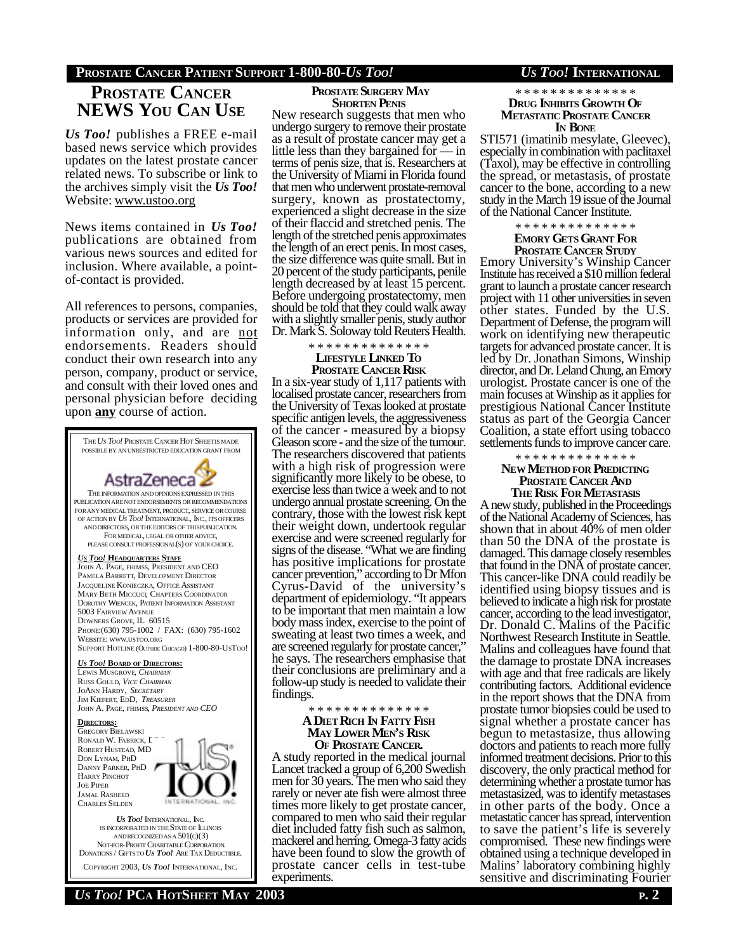## **PROSTATE CANCER PATIENT SUPPORT 1-800-80-***US TOO! US TOO!* **INTERNATIONAL**

## **PROSTATE CANCER NEWS YOU CAN USE**

*Us Too!* publishes a FREE e-mail based news service which provides updates on the latest prostate cancer related news. To subscribe or link to the archives simply visit the *Us Too!* Website: www.ustoo.org

News items contained in *Us Too!* publications are obtained from various news sources and edited for inclusion. Where available, a pointof-contact is provided.

All references to persons, companies, products or services are provided for information only, and are not endorsements. Readers should conduct their own research into any person, company, product or service, and consult with their loved ones and personal physician before deciding upon **any** course of action.



*US TOO!* **PCA HOTSHEET MAY 2003 P. 2**

COPYRIGHT 2003, *US TOO!* INTERNATIONAL, INC.

## **PROSTATE SURGERY MAY SHORTEN PENIS**

New research suggests that men who undergo surgery to remove their prostate as a result of prostate cancer may get a little less than they bargained for — in terms of penis size, that is. Researchers at the University of Miami in Florida found that men who underwent prostate-removal surgery, known as prostatectomy, experienced a slight decrease in the size of their flaccid and stretched penis. The length of the stretched penis approximates the length of an erect penis. In most cases, the size difference was quite small. But in 20 percent of the study participants, penile length decreased by at least 15 percent. Before undergoing prostatectomy, men should be told that they could walk away with a slightly smaller penis, study author Dr. Mark S. Soloway told Reuters Health.

\* \* \* \* \* \* \* \* \* \* \* \* \* \*

### **LIFESTYLE LINKED TO PROSTATE CANCER RISK**

In a six-year study of 1,117 patients with localised prostate cancer, researchers from the University of Texas looked at prostate specific antigen levels, the aggressiveness of the cancer - measured by a biopsy Gleason score - and the size of the tumour. The researchers discovered that patients with a high risk of progression were significantly more likely to be obese, to exercise less than twice a week and to not undergo annual prostate screening. On the contrary, those with the lowest risk kept their weight down, undertook regular exercise and were screened regularly for signs of the disease. "What we are finding has positive implications for prostate cancer prevention," according to Dr Mfon Cyrus-David of the university's department of epidemiology. "It appears to be important that men maintain a low body mass index, exercise to the point of sweating at least two times a week, and are screened regularly for prostate cancer, he says. The researchers emphasise that their conclusions are preliminary and a follow-up study is needed to validate their findings.

## \* \* \* \* \* \* \* \* \* \* \* \* \* \* **A DIET RICH IN FATTY FISH MAY LOWER MEN'S RISK OF PROSTATE CANCER.**

A study reported in the medical journal Lancet tracked a group of 6,200 Swedish men for 30 years. The men who said they rarely or never ate fish were almost three times more likely to get prostate cancer, compared to men who said their regular diet included fatty fish such as salmon, mackerel and herring. Omega-3 fatty acids have been found to slow the growth of prostate cancer cells in test-tube experiments.

### \* \* \* \* \* \* \* \* \* \* \* \* \* \* **DRUG INHIBITS GROWTH OF METASTATIC PROSTATE CANCER IN BONE**

STI571 (imatinib mesylate, Gleevec), especially in combination with paclitaxel (Taxol), may be effective in controlling the spread, or metastasis, of prostate cancer to the bone, according to a new study in the March 19 issue of the Journal of the National Cancer Institute.

## \* \* \* \* \* \* \* \* \* \* \* \* \* \* **EMORY GETS GRANT FOR PROSTATE CANCER STUDY**

Emory University's Winship Cancer Institute has received a \$10 million federal grant to launch a prostate cancer research project with 11 other universities in seven other states. Funded by the U.S. Department of Defense, the program will work on identifying new therapeutic targets for advanced prostate cancer. It is led by Dr. Jonathan Simons, Winship director, and Dr. Leland Chung, an Emory urologist. Prostate cancer is one of the main focuses at Winship as it applies for prestigious National Cancer Institute status as part of the Georgia Cancer Coalition, a state effort using tobacco settlements funds to improve cancer care.

\* \* \* \* \* \* \* \* \* \* \* \* \* \*

## **NEW METHOD FOR PREDICTING PROSTATE CANCER AND THE RISK FOR METASTASIS**

A new study, published in the Proceedings of the National Academy of Sciences, has shown that in about 40% of men older than 50 the DNA of the prostate is damaged. This damage closely resembles that found in the DNA of prostate cancer. This cancer-like DNA could readily be identified using biopsy tissues and is believed to indicate a high risk for prostate cancer, according to the lead investigator, Dr. Donald C. Malins of the Pacific Northwest Research Institute in Seattle. Malins and colleagues have found that the damage to prostate DNA increases with age and that free radicals are likely contributing factors. Additional evidence in the report shows that the DNA from prostate tumor biopsies could be used to signal whether a prostate cancer has begun to metastasize, thus allowing doctors and patients to reach more fully informed treatment decisions. Prior to this discovery, the only practical method for determining whether a prostate tumor has metastasized, was to identify metastases in other parts of the body. Once a metastatic cancer has spread, intervention to save the patient's life is severely compromised. These new findings were obtained using a technique developed in Malins' laboratory combining highly sensitive and discriminating Fourier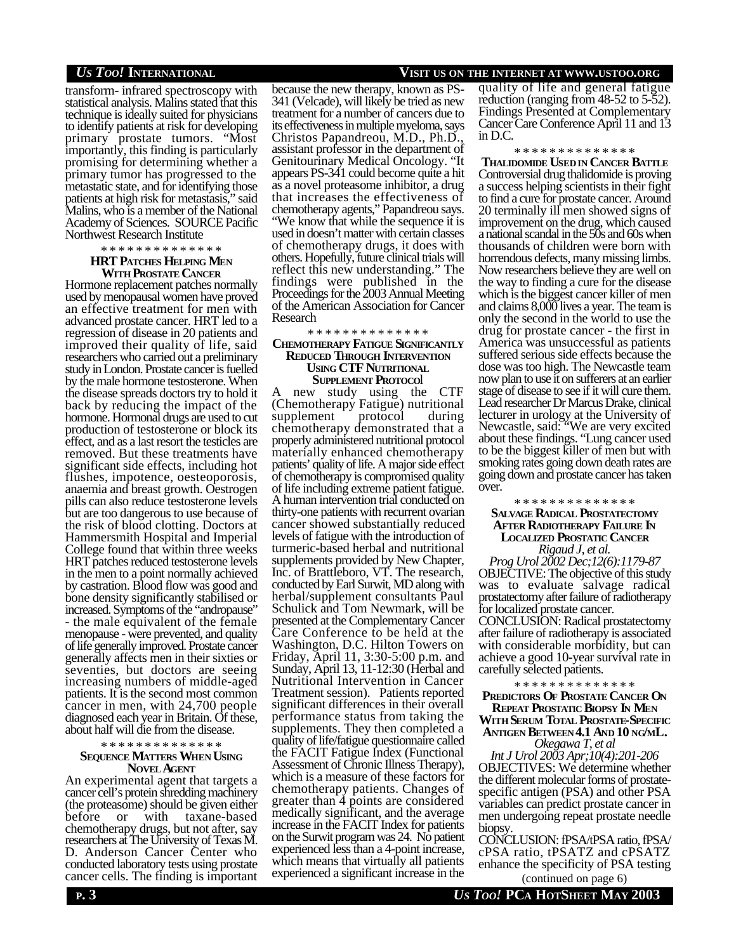transform- infrared spectroscopy with statistical analysis. Malins stated that this technique is ideally suited for physicians to identify patients at risk for developing primary prostate tumors. "Most importantly, this finding is particularly promising for determining whether a primary tumor has progressed to the metastatic state, and for identifying those patients at high risk for metastasis," said Malins, who is a member of the National Academy of Sciences. SOURCE Pacific Northwest Research Institute

## \* \* \* \* \* \* \* \* \* \* \* \* \* \* **HRT PATCHES HELPING MEN WITH PROSTATE CANCER**

Hormone replacement patches normally used by menopausal women have proved an effective treatment for men with advanced prostate cancer. HRT led to a regression of disease in 20 patients and improved their quality of life, said researchers who carried out a preliminary study in London. Prostate cancer is fuelled by the male hormone testosterone. When the disease spreads doctors try to hold it back by reducing the impact of the hormone. Hormonal drugs are used to cut production of testosterone or block its effect, and as a last resort the testicles are removed. But these treatments have significant side effects, including hot flushes, impotence, oesteoporosis, anaemia and breast growth. Oestrogen pills can also reduce testosterone levels but are too dangerous to use because of the risk of blood clotting. Doctors at Hammersmith Hospital and Imperial College found that within three weeks HRT patches reduced testosterone levels in the men to a point normally achieved by castration. Blood flow was good and bone density significantly stabilised or increased. Symptoms of the "andropause" - the male equivalent of the female menopause - were prevented, and quality of life generally improved. Prostate cancer generally affects men in their sixties or seventies, but doctors are seeing increasing numbers of middle-aged patients. It is the second most common cancer in men, with 24,700 people diagnosed each year in Britain. Of these, about half will die from the disease.

#### \* \* \* \* \* \* \* \* \* \* \* \* \* \*

## **SEQUENCE MATTERS WHEN USING NOVEL AGENT**

An experimental agent that targets a cancer cell's protein shredding machinery (the proteasome) should be given either before or with taxane-based chemotherapy drugs, but not after, say researchers at The University of Texas M. D. Anderson Cancer Center who conducted laboratory tests using prostate cancer cells. The finding is important

because the new therapy, known as PS-341 (Velcade), will likely be tried as new treatment for a number of cancers due to its effectiveness in multiple myeloma, says Christos Papandreou, M.D., Ph.D., assistant professor in the department of Genitourinary Medical Oncology. "It appears PS-341 could become quite a hit as a novel proteasome inhibitor, a drug that increases the effectiveness of chemotherapy agents," Papandreou says. "We know that while the sequence it is used in doesn't matter with certain classes of chemotherapy drugs, it does with others. Hopefully, future clinical trials will reflect this new understanding." The findings were published in the Proceedings for the 2003 Annual Meeting of the American Association for Cancer Research

\* \* \* \* \* \* \* \* \* \* \* \* \* \*

### **CHEMOTHERAPY FATIGUE SIGNIFICANTLY REDUCED THROUGH INTERVENTION USING CTF NUTRITIONAL SUPPLEMENT PROTOCO**l

new study using the CTF (Chemotherapy Fatigue) nutritional supplement protocol during chemotherapy demonstrated that a properly administered nutritional protocol materially enhanced chemotherapy patients' quality of life. A major side effect of chemotherapy is compromised quality of life including extreme patient fatigue. A human intervention trial conducted on thirty-one patients with recurrent ovarian cancer showed substantially reduced levels of fatigue with the introduction of turmeric-based herbal and nutritional supplements provided by New Chapter, Inc. of Brattleboro, VT. The research, conducted by Earl Surwit, MD along with herbal/supplement consultants Paul Schulick and Tom Newmark, will be presented at the Complementary Cancer Care Conference to be held at the Washington, D.C. Hilton Towers on Friday, April 11, 3:30-5:00 p.m. and Sunday, April 13, 11-12:30 (Herbal and Nutritional Intervention in Cancer Treatment session). Patients reported significant differences in their overall performance status from taking the supplements. They then completed a quality of life/fatigue questionnaire called the FACIT Fatigue Index (Functional Assessment of Chronic Illness Therapy), which is a measure of these factors for chemotherapy patients. Changes of greater than 4 points are considered medically significant, and the average increase in the FACIT Index for patients on the Surwit program was 24. No patient experienced less than a 4-point increase, which means that virtually all patients experienced a significant increase in the

## *US TOO!* **INTERNATIONAL VISIT US ON THE INTERNET AT WWW.USTOO.ORG**

quality of life and general fatigue reduction (ranging from 48-52 to 5-52). Findings Presented at Complementary Cancer Care Conference April 11 and 13 in D.C.

#### \* \* \* \* \* \* \* \* \* \* \* \* \* \*

**THALIDOMIDE USEDIN CANCER BATTLE** Controversial drug thalidomide is proving a success helping scientists in their fight to find a cure for prostate cancer. Around 20 terminally ill men showed signs of improvement on the drug, which caused a national scandal in the 50s and 60s when thousands of children were born with horrendous defects, many missing limbs. Now researchers believe they are well on the way to finding a cure for the disease which is the biggest cancer killer of men and claims 8,000 lives a year. The team is only the second in the world to use the drug for prostate cancer - the first in America was unsuccessful as patients suffered serious side effects because the dose was too high. The Newcastle team now plan to use it on sufferers at an earlier stage of disease to see if it will cure them. Lead researcher Dr Marcus Drake, clinical lecturer in urology at the University of Newcastle, said: "We are very excited about these findings. "Lung cancer used to be the biggest killer of men but with smoking rates going down death rates are going down and prostate cancer has taken over.

## \* \* \* \* \* \* \* \* \* \* \* \* \* \* **SALVAGE RADICAL PROSTATECTOMY AFTER RADIOTHERAPY FAILURE IN LOCALIZED PROSTATIC CANCER** *Rigaud J, et al.*

*Prog Urol 2002 Dec;12(6):1179-87* OBJECTIVE: The objective of this study was to evaluate salvage radical prostatectomy after failure of radiotherapy for localized prostate cancer. CONCLUSION: Radical prostatectomy after failure of radiotherapy is associated with considerable morbidity, but can achieve a good 10-year survival rate in carefully selected patients.

\* \* \* \* \* \* \* \* \* \* \* \* \* \*

**PREDICTORS OF PROSTATE CANCER ON REPEAT PROSTATIC BIOPSY IN MEN WITH SERUM TOTAL PROSTATE-SPECIFIC ANTIGEN BETWEEN 4.1 AND 10 NG/ML.**

*Okegawa T, et al*

*Int J Urol 2003 Apr;10(4):201-206* OBJECTIVES: We determine whether the different molecular forms of prostatespecific antigen (PSA) and other PSA variables can predict prostate cancer in men undergoing repeat prostate needle biopsy.

CONCLUSION: fPSA/tPSA ratio, fPSA/ cPSA ratio, tPSATZ and cPSATZ enhance the specificity of PSA testing (continued on page 6)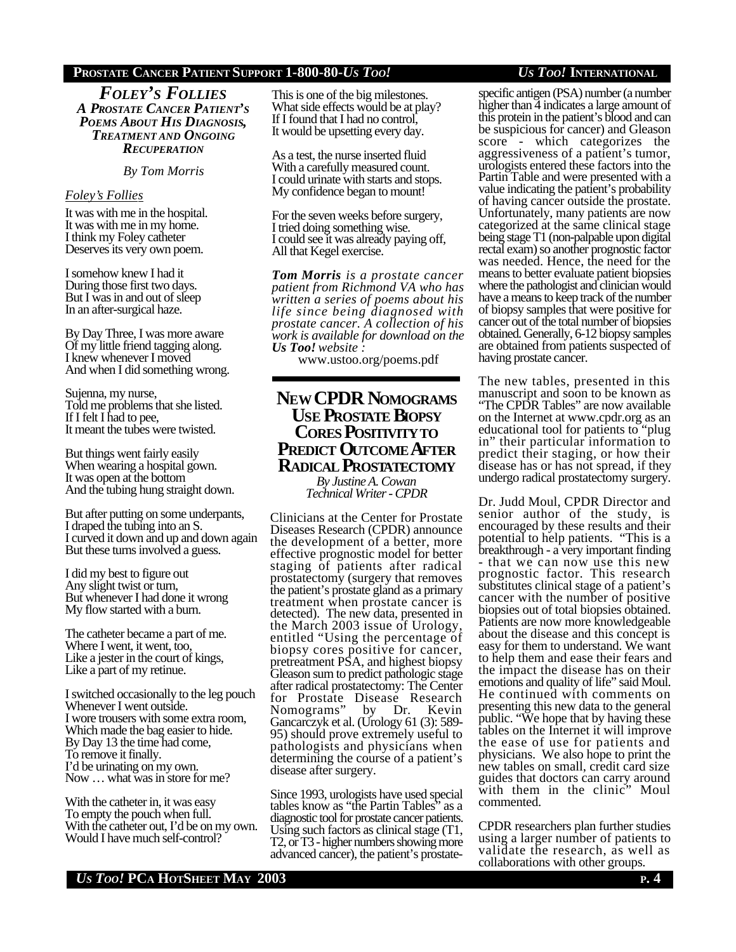## **PROSTATE CANCER PATIENT SUPPORT 1-800-80-***US TOO! US TOO!* **INTERNATIONAL**

*FOLEY'S FOLLIES A PROSTATE CANCER PATIENT'S POEMS ABOUT HIS DIAGNOSIS, TREATMENT AND ONGOING RECUPERATION*

## *By Tom Morris*

## *Foley's Follies*

It was with me in the hospital. It was with me in my home. I think my Foley catheter Deserves its very own poem.

I somehow knew I had it During those first two days. But I was in and out of sleep In an after-surgical haze.

By Day Three, I was more aware Of my little friend tagging along. I knew whenever I moved And when I did something wrong.

Sujenna, my nurse, Told me problems that she listed. If I felt I had to pee, It meant the tubes were twisted.

But things went fairly easily When wearing a hospital gown. It was open at the bottom And the tubing hung straight down.

But after putting on some underpants, I draped the tubing into an S. I curved it down and up and down again But these turns involved a guess.

I did my best to figure out Any slight twist or turn, But whenever I had done it wrong My flow started with a burn.

The catheter became a part of me. Where I went, it went, too, Like a jester in the court of kings, Like a part of my retinue.

I switched occasionally to the leg pouch Whenever I went outside. I wore trousers with some extra room, Which made the bag easier to hide. By Day 13 the time had come, To remove it finally. I'd be urinating on my own. Now … what was in store for me?

With the catheter in, it was easy To empty the pouch when full. With the catheter out, I'd be on my own. Would I have much self-control?

This is one of the big milestones. What side effects would be at play? If I found that I had no control, It would be upsetting every day.

As a test, the nurse inserted fluid With a carefully measured count. I could urinate with starts and stops. My confidence began to mount!

For the seven weeks before surgery, I tried doing something wise. I could see it was already paying off, All that Kegel exercise.

*Tom Morris is a prostate cancer patient from Richmond VA who has written a series of poems about his life since being diagnosed with prostate cancer. A collection of his work is available for download on the Us Too! website :*

www.ustoo.org/poems.pdf

## **NEW CPDR NOMOGRAMS USE PROSTATE BIOPSY CORES POSITIVITYTO PREDICT OUTCOME AFTER RADICAL PROSTATECTOMY**

*By Justine A. Cowan Technical Writer - CPDR*

Clinicians at the Center for Prostate Diseases Research (CPDR) announce the development of a better, more effective prognostic model for better staging of patients after radical prostatectomy (surgery that removes the patient's prostate gland as a primary treatment when prostate cancer is detected). The new data, presented in the March 2003 issue of Urology, entitled "Using the percentage of biopsy cores positive for cancer, pretreatment PSA, and highest biopsy Gleason sum to predict pathologic stage after radical prostatectomy: The Center for Prostate Disease Research Nomograms" by Dr. Kevin Gancarczyk et al. (Urology 61 (3): 589- 95) should prove extremely useful to pathologists and physicians when determining the course of a patient's disease after surgery.

Since 1993, urologists have used special tables know as "the Partin Tables" as a diagnostic tool for prostate cancer patients. Using such factors as clinical stage (T1, T2, or T3 - higher numbers showing more advanced cancer), the patient's prostate-

specific antigen (PSA) number (a number higher than 4 indicates a large amount of this protein in the patient's blood and can be suspicious for cancer) and Gleason score - which categorizes the aggressiveness of a patient's tumor, urologists entered these factors into the Partin Table and were presented with a value indicating the patient's probability of having cancer outside the prostate. Unfortunately, many patients are now categorized at the same clinical stage being stage T1 (non-palpable upon digital rectal exam) so another prognostic factor was needed. Hence, the need for the means to better evaluate patient biopsies where the pathologist and clinician would have a means to keep track of the number of biopsy samples that were positive for cancer out of the total number of biopsies obtained. Generally, 6-12 biopsy samples are obtained from patients suspected of having prostate cancer.

The new tables, presented in this manuscript and soon to be known as "The CPDR Tables" are now available on the Internet at www.cpdr.org as an educational tool for patients to "plug in" their particular information to predict their staging, or how their disease has or has not spread, if they undergo radical prostatectomy surgery.

Dr. Judd Moul, CPDR Director and senior author of the study, is encouraged by these results and their potential to help patients. "This is a breakthrough - a very important finding - that we can now use this new prognostic factor. This research substitutes clinical stage of a patient's cancer with the number of positive biopsies out of total biopsies obtained. Patients are now more knowledgeable about the disease and this concept is easy for them to understand. We want to help them and ease their fears and the impact the disease has on their emotions and quality of life" said Moul. He continued with comments on presenting this new data to the general public. "We hope that by having these tables on the Internet it will improve the ease of use for patients and physicians. We also hope to print the new tables on small, credit card size guides that doctors can carry around with them in the clinic" Moul commented.

CPDR researchers plan further studies using a larger number of patients to validate the research, as well as collaborations with other groups.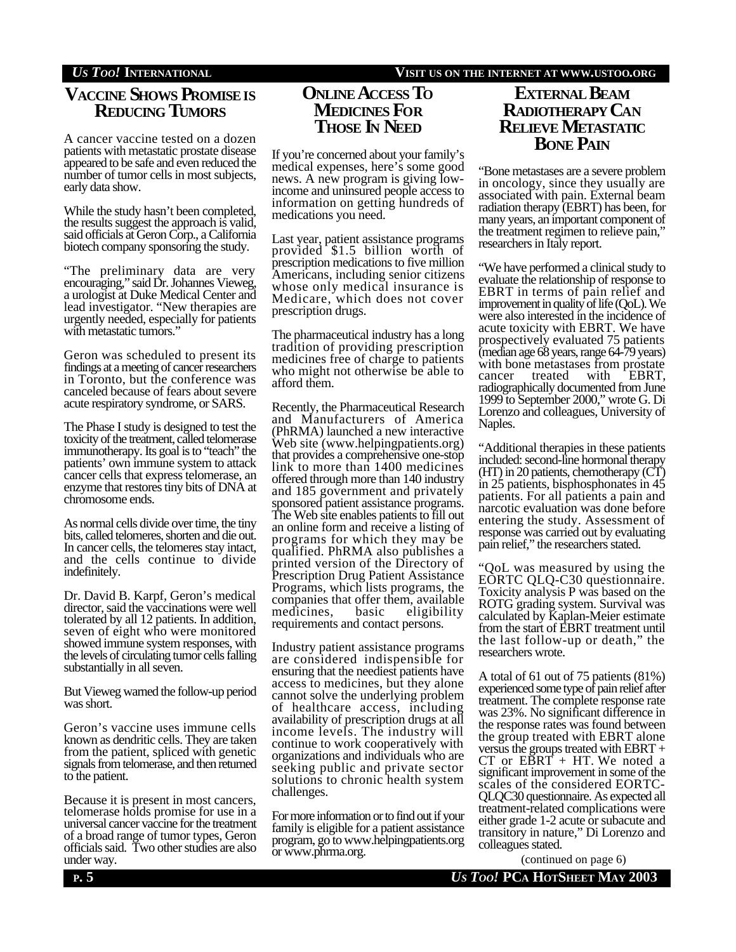## **VACCINE SHOWS PROMISEIS REDUCING TUMORS**

A cancer vaccine tested on a dozen patients with metastatic prostate disease appeared to be safe and even reduced the number of tumor cells in most subjects, early data show.

While the study hasn't been completed, the results suggest the approach is valid, said officials at Geron Corp., a California biotech company sponsoring the study.

"The preliminary data are very encouraging," said Dr. Johannes Vieweg, a urologist at Duke Medical Center and lead investigator. "New therapies are urgently needed, especially for patients with metastatic tumors."

Geron was scheduled to present its findings at a meeting of cancer researchers in Toronto, but the conference was canceled because of fears about severe acute respiratory syndrome, or SARS.

The Phase I study is designed to test the toxicity of the treatment, called telomerase immunotherapy. Its goal is to "teach" the patients' own immune system to attack cancer cells that express telomerase, an enzyme that restores tiny bits of DNA at chromosome ends.

As normal cells divide over time, the tiny bits, called telomeres, shorten and die out. In cancer cells, the telomeres stay intact, and the cells continue to divide indefinitely.

Dr. David B. Karpf, Geron's medical director, said the vaccinations were well tolerated by all 12 patients. In addition, seven of eight who were monitored showed immune system responses, with the levels of circulating tumor cells falling substantially in all seven.

But Vieweg warned the follow-up period was short.

Geron's vaccine uses immune cells known as dendritic cells. They are taken from the patient, spliced with genetic signals from telomerase, and then returned to the patient.

Because it is present in most cancers, telomerase holds promise for use in a universal cancer vaccine for the treatment of a broad range of tumor types, Geron officials said. Two other studies are also under way.

## *US TOO!* **INTERNATIONAL VISIT US ON THE INTERNET AT WWW.USTOO.ORG**

## **ONLINE ACCESS TO MEDICINES FOR THOSE IN NEED**

If you're concerned about your family's medical expenses, here's some good news. A new program is giving lowincome and uninsured people access to information on getting hundreds of medications you need.

Last year, patient assistance programs provided \$1.5 billion worth of prescription medications to five million Americans, including senior citizens whose only medical insurance is Medicare, which does not cover prescription drugs.

The pharmaceutical industry has a long tradition of providing prescription medicines free of charge to patients who might not otherwise be able to afford them.

Recently, the Pharmaceutical Research and Manufacturers of America (PhRMA) launched a new interactive Web site (www.helpingpatients.org) that provides a comprehensive one-stop link to more than 1400 medicines offered through more than 140 industry and 185 government and privately sponsored patient assistance programs. The Web site enables patients to fill out an online form and receive a listing of programs for which they may be qualified. PhRMA also publishes a printed version of the Directory of Prescription Drug Patient Assistance Programs, which lists programs, the companies that offer them, available medicines, basic eligibility requirements and contact persons.

Industry patient assistance programs are considered indispensible for ensuring that the neediest patients have access to medicines, but they alone cannot solve the underlying problem of healthcare access, including availability of prescription drugs at all income levels. The industry will continue to work cooperatively with organizations and individuals who are seeking public and private sector solutions to chronic health system challenges.

For more information or to find out if your family is eligible for a patient assistance program, go to www.helpingpatients.org or www.phrma.org.

## **EXTERNAL BEAM RADIOTHERAPY CAN RELIEVE METASTATIC BONE PAIN**

"Bone metastases are a severe problem in oncology, since they usually are associated with pain. External beam radiation therapy (EBRT) has been, for many years, an important component of the treatment regimen to relieve pain," researchers in Italy report.

"We have performed a clinical study to evaluate the relationship of response to EBRT in terms of pain relief and improvement in quality of life (QoL). We were also interested in the incidence of acute toxicity with EBRT. We have prospectively evaluated 75 patients (median age 68 years, range 64-79 years) with bone metastases from prostate cancer treated with EBRT, radiographically documented from June 1999 to September 2000," wrote G. Di Lorenzo and colleagues, University of Naples.

"Additional therapies in these patients included: second-line hormonal therapy (HT) in 20 patients, chemotherapy (CT) in 25 patients, bisphosphonates in 45 patients. For all patients a pain and narcotic evaluation was done before entering the study. Assessment of response was carried out by evaluating pain relief," the researchers stated.

"QoL was measured by using the EORTC QLQ-C30 questionnaire. Toxicity analysis P was based on the ROTG grading system. Survival was calculated by Kaplan-Meier estimate from the start of EBRT treatment until the last follow-up or death," the researchers wrote.

A total of 61 out of 75 patients (81%) experienced some type of pain relief after treatment. The complete response rate was 23%. No significant difference in the response rates was found between the group treated with EBRT alone versus the groups treated with EBRT +  $CT$  or  $E\overline{B}RT$  + HT. We noted a significant improvement in some of the scales of the considered EORTC-QLQC30 questionnaire. As expected all treatment-related complications were either grade 1-2 acute or subacute and transitory in nature," Di Lorenzo and colleagues stated.

(continued on page 6)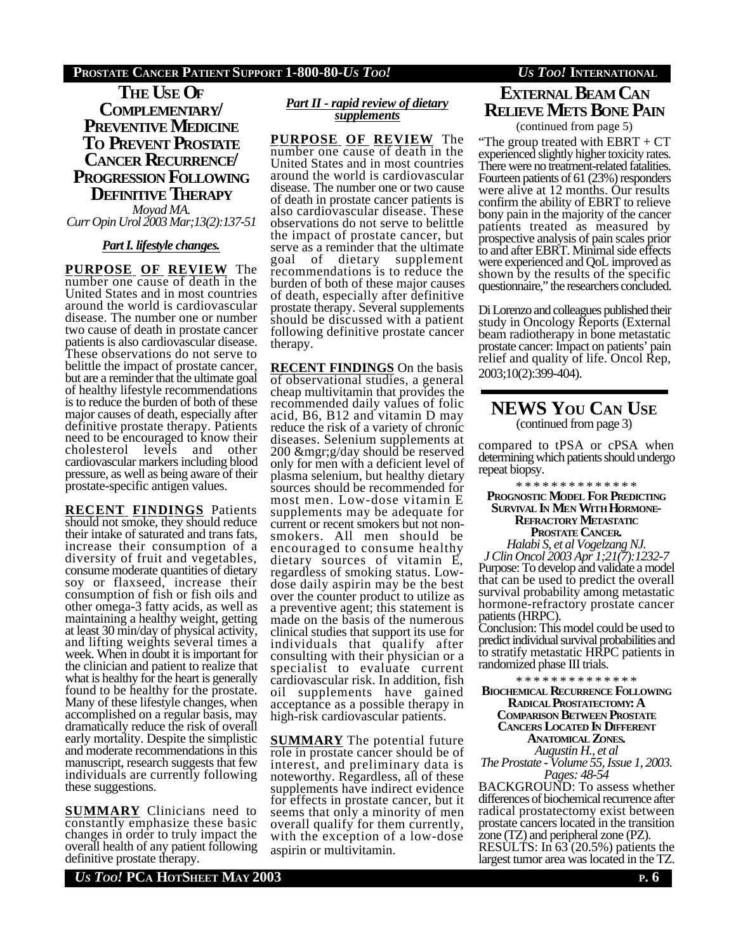## **PROSTATE CANCER PATIENT SUPPORT 1-800-80-***US TOO! US TOO!* **INTERNATIONAL**

**THE USE OF COMPLEMENTARY/ PREVENTIVE MEDICINE TO PREVENT PROSTATE CANCER RECURRENCE/ PROGRESSION FOLLOWING DEFINITIVE THERAPY**

*Moyad MA. Curr Opin Urol 2003 Mar;13(2):137-51*

## *PartI. lifestyle changes.*

**PURPOSE OF REVIEW** The number one cause of death in the United States and in most countries around the world is cardiovascular disease. The number one or number two cause of death in prostate cancer patients is also cardiovascular disease. These observations do not serve to belittle the impact of prostate cancer, but are a reminder that the ultimate goal of healthy lifestyle recommendations is to reduce the burden of both of these major causes of death, especially after definitive prostate therapy. Patients need to be encouraged to know their<br>cholesterol levels and other cholesterol levels cardiovascular markers including blood pressure, as well as being aware of their prostate-specific antigen values.

**RECENT FINDINGS** Patients should not smoke, they should reduce their intake of saturated and trans fats, increase their consumption of a diversity of fruit and vegetables, consume moderate quantities of dietary soy or flaxseed, increase their consumption of fish or fish oils and other omega-3 fatty acids, as well as maintaining a healthy weight, getting at least 30 min/day of physical activity, and lifting weights several times a week. When in doubt it is important for the clinician and patient to realize that what is healthy for the heart is generally found to be healthy for the prostate. Many of these lifestyle changes, when accomplished on a regular basis, may dramatically reduce the risk of overall early mortality. Despite the simplistic and moderate recommendations in this manuscript, research suggests that few individuals are currently following these suggestions.

**SUMMARY** Clinicians need to constantly emphasize these basic changes in order to truly impact the overall health of any patient following definitive prostate therapy.

## *Part II - rapid review of dietary supplements*

**PURPOSE OF REVIEW** The number one cause of death in the United States and in most countries around the world is cardiovascular disease. The number one or two cause of death in prostate cancer patients is also cardiovascular disease. These observations do not serve to belittle the impact of prostate cancer, but serve as a reminder that the ultimate<br>goal of dietary supplement supplement recommendations is to reduce the burden of both of these major causes of death, especially after definitive prostate therapy. Several supplements should be discussed with a patient following definitive prostate cancer therapy.

**RECENT FINDINGS** On the basis of observational studies, a general cheap multivitamin that provides the recommended daily values of folic acid, B6, B12 and vitamin D may reduce the risk of a variety of chronic diseases. Selenium supplements at 200 &mgr;g/day should be reserved only for men with a deficient level of plasma selenium, but healthy dietary sources should be recommended for most men. Low-dose vitamin E supplements may be adequate for current or recent smokers but not nonsmokers. All men should be encouraged to consume healthy dietary sources of vitamin E, regardless of smoking status. Lowdose daily aspirin may be the best over the counter product to utilize as a preventive agent; this statement is made on the basis of the numerous clinical studies that support its use for individuals that qualify after consulting with their physician or a specialist to evaluate current cardiovascular risk. In addition, fish oil supplements have gained acceptance as a possible therapy in high-risk cardiovascular patients.

**SUMMARY** The potential future role in prostate cancer should be of interest, and preliminary data is noteworthy. Regardless, all of these supplements have indirect evidence for effects in prostate cancer, but it seems that only a minority of men overall qualify for them currently, with the exception of a low-dose aspirin or multivitamin.

# **EXTERNAL BEAM CAN RELIEVE METS BONE PAIN**

(continued from page 5)

"The group treated with EBRT + CT experienced slightly higher toxicity rates. There were no treatment-related fatalities. Fourteen patients of 61 (23%) responders were alive at 12 months. Our results confirm the ability of EBRT to relieve bony pain in the majority of the cancer patients treated as measured by prospective analysis of pain scales prior to and after EBRT. Minimal side effects were experienced and QoL improved as shown by the results of the specific questionnaire," the researchers concluded.

Di Lorenzo and colleagues published their study in Oncology Reports (External beam radiotherapy in bone metastatic prostate cancer: Impact on patients' pain relief and quality of life. Oncol Rep, 2003;10(2):399-404).

## **NEWS YOU CAN USE** (continued from page 3)

compared to tPSA or cPSA when determining which patients should undergo repeat biopsy.

\* \* \* \* \* \* \* \* \* \* \* \* \* \* **PROGNOSTIC MODEL FOR PREDICTING SURVIVAL IN MEN WITH HORMONE-REFRACTORY METASTATIC PROSTATE CANCER.** *Halabi S, et al Vogelzang NJ.*

*J Clin Oncol 2003 Apr 1;21(7):1232-7* Purpose: To develop and validate a model that can be used to predict the overall survival probability among metastatic hormone-refractory prostate cancer patients (HRPC).

Conclusion: This model could be used to predict individual survival probabilities and to stratify metastatic HRPC patients in randomized phase III trials.

\* \* \* \* \* \* \* \* \* \* \* \* \* \*

**BIOCHEMICAL RECURRENCE FOLLOWING RADICAL PROSTATECTOMY: A COMPARISON BETWEEN PROSTATE CANCERS LOCATED IN DIFFERENT ANATOMICAL ZONES.** *Augustin H., et al*

*The Prostate - Volume 55, Issue 1, 2003. Pages: 48-54*

BACKGROUND: To assess whether differences of biochemical recurrence after radical prostatectomy exist between prostate cancers located in the transition zone (TZ) and peripheral zone (PZ). RESULTS: In 63 (20.5%) patients the largest tumor area was located in the TZ.

*US TOO!* **PCA HOTSHEET MAY 2003 P. 6**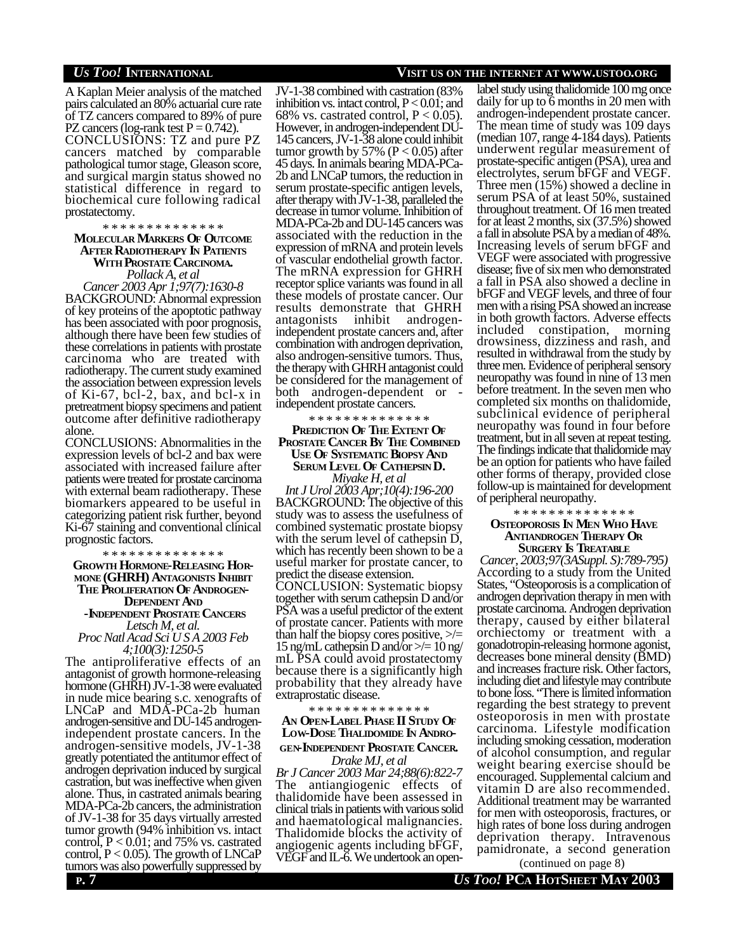A Kaplan Meier analysis of the matched pairs calculated an 80% actuarial cure rate of TZ cancers compared to 89% of pure PZ cancers (log-rank test  $P = 0.742$ ). CONCLUSIONS: TZ and pure PZ cancers matched by comparable pathological tumor stage, Gleason score, and surgical margin status showed no statistical difference in regard to biochemical cure following radical prostatectomy.

## \* \* \* \* \* \* \* \* \* \* \* \* \* \* **MOLECULAR MARKERS OF OUTCOME AFTER RADIOTHERAPY IN PATIENTS WITH PROSTATE CARCINOMA.**

*Pollack A, et al*

*Cancer 2003 Apr 1;97(7):1630-8* BACKGROUND: Abnormal expression of key proteins of the apoptotic pathway has been associated with poor prognosis, although there have been few studies of these correlations in patients with prostate carcinoma who are treated with radiotherapy. The current study examined the association between expression levels of Ki-67, bcl-2, bax, and bcl-x in pretreatment biopsy specimens and patient outcome after definitive radiotherapy alone.

CONCLUSIONS: Abnormalities in the expression levels of bcl-2 and bax were associated with increased failure after patients were treated for prostate carcinoma with external beam radiotherapy. These biomarkers appeared to be useful in categorizing patient risk further, beyond Ki-67 staining and conventional clinical prognostic factors.

\* \* \* \* \* \* \* \* \* \* \* \* \* \* **GROWTH HORMONE-RELEASING HOR-MONE (GHRH) ANTAGONISTS INHIBIT THE PROLIFERATION OF ANDROGEN-DEPENDENT AND -INDEPENDENT PROSTATE CANCERS** *Letsch M, et al.*

*Proc Natl Acad Sci U S A 2003 Feb 4;100(3):1250-5*

The antiproliferative effects of an antagonist of growth hormone-releasing hormone (GHRH) JV-1-38 were evaluated in nude mice bearing s.c. xenografts of LNCaP and MDA-PCa-2b human androgen-sensitive and DU-145 androgenindependent prostate cancers. In the androgen-sensitive models, JV-1-38 greatly potentiated the antitumor effect of androgen deprivation induced by surgical castration, but was ineffective when given alone. Thus, in castrated animals bearing MDA-PCa-2b cancers, the administration of JV-1-38 for 35 days virtually arrested tumor growth (94% inhibition vs. intact control,  $P < 0.01$ ; and 75% vs. castrated control,  $P < 0.05$ ). The growth of LNCaP tumors was also powerfully suppressed by  $\overline{C}$  and  $\overline{L}$ -o. We underlook an open-<br>(continued on page 8)

## *US TOO!* **INTERNATIONAL VISIT US ON THE INTERNET AT WWW.USTOO.ORG**

JV-1-38 combined with castration (83% inhibition vs. intact control,  $P < 0.01$ ; and 68% vs. castrated control,  $P < 0.05$ ). However, in androgen-independent DU-145 cancers, JV-1-38 alone could inhibit tumor growth by 57% ( $P < 0.05$ ) after 45 days. In animals bearing MDA-PCa-2b and LNCaP tumors, the reduction in serum prostate-specific antigen levels, after therapy with JV-1-38, paralleled the decrease in tumor volume. Inhibition of MDA-PCa-2b and DU-145 cancers was associated with the reduction in the expression of mRNA and protein levels of vascular endothelial growth factor. The mRNA expression for GHRH receptor splice variants was found in all these models of prostate cancer. Our results demonstrate that GHRH antagonists inhibit androgenindependent prostate cancers and, after combination with androgen deprivation, also androgen-sensitive tumors. Thus, the therapy with GHRH antagonist could be considered for the management of both androgen-dependent or independent prostate cancers.

\* \* \* \* \* \* \* \* \* \* \* \* \* \*

## **PREDICTION OF THE EXTENT OF PROSTATE CANCER BY THE COMBINED USE OF SYSTEMATIC BIOPSY AND SERUM LEVEL OF CATHEPSIN D.** *Miyake H, et al*

*Int J Urol 2003 Apr;10(4):196-200* BACKGROUND: The objective of this study was to assess the usefulness of combined systematic prostate biopsy with the serum level of cathepsin D, which has recently been shown to be a useful marker for prostate cancer, to predict the disease extension. CONCLUSION: Systematic biopsy

together with serum cathepsin D and/or PSA was a useful predictor of the extent of prostate cancer. Patients with more than half the biopsy cores positive,  $\geq$  = 15 ng/mL cathepsin D and/or  $\gg$  = 10 ng/ mL PSA could avoid prostatectomy because there is a significantly high probability that they already have extraprostatic disease.

## \* \* \* \* \* \* \* \* \* \* \* \* \* \* **AN OPEN-LABEL PHASE II STUDY OF LOW-DOSE THALIDOMIDE IN ANDRO-GEN-INDEPENDENT PROSTATE CANCER.**

*Drake MJ, et al Br J Cancer 2003 Mar 24;88(6):822-7* The antiangiogenic effects of thalidomide have been assessed in clinical trials in patients with various solid and haematological malignancies. Thalidomide blocks the activity of angiogenic agents including bFGF, VEGF and IL-6. We undertook an openlabel study using thalidomide 100 mg once daily for up to 6 months in 20 men with androgen-independent prostate cancer. The mean time of study was 109 days (median 107, range 4-184 days). Patients underwent regular measurement of prostate-specific antigen (PSA), urea and electrolytes, serum bFGF and VEGF. Three men (15%) showed a decline in serum PSA of at least 50%, sustained throughout treatment. Of 16 men treated for at least 2 months, six (37.5%) showed a fall in absolute PSA by a median of 48%. Increasing levels of serum bFGF and VEGF were associated with progressive disease; five of six men who demonstrated a fall in PSA also showed a decline in bFGF and VEGF levels, and three of four men with a rising PSA showed an increase in both growth factors. Adverse effects included constipation, morning drowsiness, dizziness and rash, and resulted in withdrawal from the study by three men. Evidence of peripheral sensory neuropathy was found in nine of 13 men before treatment. In the seven men who completed six months on thalidomide, subclinical evidence of peripheral neuropathy was found in four before treatment, but in all seven at repeat testing. The findings indicate that thalidomide may be an option for patients who have failed other forms of therapy, provided close follow-up is maintained for development of peripheral neuropathy.

### \* \* \* \* \* \* \* \* \* \* \* \* \* \* **OSTEOPOROSIS IN MEN WHO HAVE ANTIANDROGEN THERAPY OR SURGERY IS TREATABLE**

*Cancer, 2003;97(3ASuppl. S):789-795)* According to a study from the United States, "Osteoporosis is a complication of androgen deprivation therapy in men with prostate carcinoma. Androgen deprivation therapy, caused by either bilateral orchiectomy or treatment with a gonadotropin-releasing hormone agonist, decreases bone mineral density (BMD) and increases fracture risk. Other factors, including diet and lifestyle may contribute to bone loss. "There is limited information regarding the best strategy to prevent osteoporosis in men with prostate carcinoma. Lifestyle modification including smoking cessation, moderation of alcohol consumption, and regular weight bearing exercise should be encouraged. Supplemental calcium and vitamin D are also recommended. Additional treatment may be warranted for men with osteoporosis, fractures, or high rates of bone loss during androgen deprivation therapy. Intravenous pamidronate, a second generation